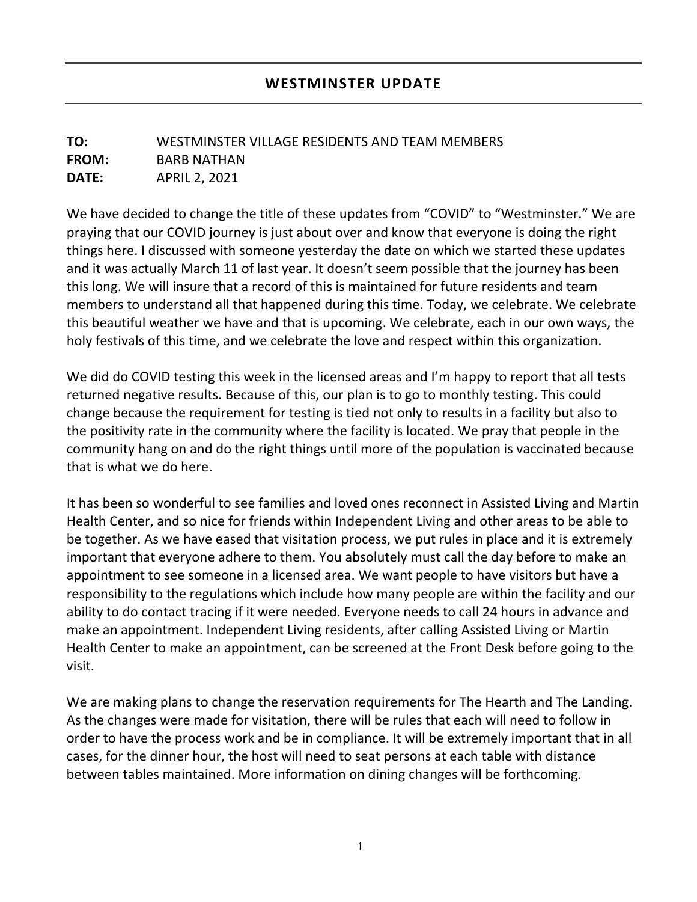## **TO:** WESTMINSTER VILLAGE RESIDENTS AND TEAM MEMBERS **FROM:** BARB NATHAN **DATE:** APRIL 2, 2021

We have decided to change the title of these updates from "COVID" to "Westminster." We are praying that our COVID journey is just about over and know that everyone is doing the right things here. I discussed with someone yesterday the date on which we started these updates and it was actually March 11 of last year. It doesn't seem possible that the journey has been this long. We will insure that a record of this is maintained for future residents and team members to understand all that happened during this time. Today, we celebrate. We celebrate this beautiful weather we have and that is upcoming. We celebrate, each in our own ways, the holy festivals of this time, and we celebrate the love and respect within this organization.

We did do COVID testing this week in the licensed areas and I'm happy to report that all tests returned negative results. Because of this, our plan is to go to monthly testing. This could change because the requirement for testing is tied not only to results in a facility but also to the positivity rate in the community where the facility is located. We pray that people in the community hang on and do the right things until more of the population is vaccinated because that is what we do here.

It has been so wonderful to see families and loved ones reconnect in Assisted Living and Martin Health Center, and so nice for friends within Independent Living and other areas to be able to be together. As we have eased that visitation process, we put rules in place and it is extremely important that everyone adhere to them. You absolutely must call the day before to make an appointment to see someone in a licensed area. We want people to have visitors but have a responsibility to the regulations which include how many people are within the facility and our ability to do contact tracing if it were needed. Everyone needs to call 24 hours in advance and make an appointment. Independent Living residents, after calling Assisted Living or Martin Health Center to make an appointment, can be screened at the Front Desk before going to the visit.

We are making plans to change the reservation requirements for The Hearth and The Landing. As the changes were made for visitation, there will be rules that each will need to follow in order to have the process work and be in compliance. It will be extremely important that in all cases, for the dinner hour, the host will need to seat persons at each table with distance between tables maintained. More information on dining changes will be forthcoming.